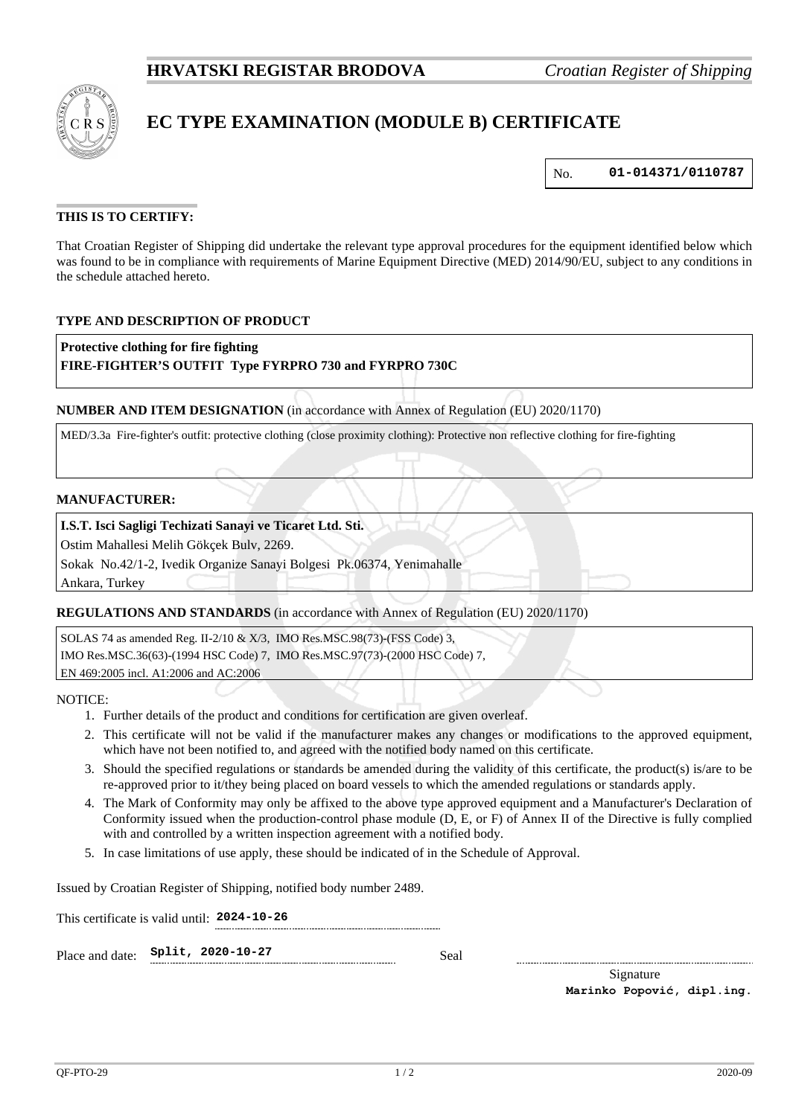

# **EC TYPE EXAMINATION (MODULE B) CERTIFICATE**

No. **01-014371/0110787**

# **THIS IS TO CERTIFY:**

That Croatian Register of Shipping did undertake the relevant type approval procedures for the equipment identified below which was found to be in compliance with requirements of Marine Equipment Directive (MED) 2014/90/EU, subject to any conditions in the schedule attached hereto.

# **TYPE AND DESCRIPTION OF PRODUCT**

**Protective clothing for fire fighting**

#### **FIRE-FIGHTER'S OUTFIT Type FYRPRO 730 and FYRPRO 730C**

**NUMBER AND ITEM DESIGNATION** (in accordance with Annex of Regulation (EU) 2020/1170)

MED/3.3a Fire-fighter's outfit: protective clothing (close proximity clothing): Protective non reflective clothing for fire-fighting

#### **MANUFACTURER:**

### **I.S.T. Isci Sagligi Techizati Sanayi ve Ticaret Ltd. Sti.**

Ostim Mahallesi Melih Gökçek Bulv, 2269.

Sokak No.42/1-2, Ivedik Organize Sanayi Bolgesi Pk.06374, Yenimahalle

Ankara, Turkey

#### **REGULATIONS AND STANDARDS** (in accordance with Annex of Regulation (EU) 2020/1170)

SOLAS 74 as amended Reg. II-2/10 & X/3, IMO Res.MSC.98(73)-(FSS Code) 3, IMO Res.MSC.36(63)-(1994 HSC Code) 7, IMO Res.MSC.97(73)-(2000 HSC Code) 7, EN 469:2005 incl. A1:2006 and AC:2006

NOTICE:

- 1. Further details of the product and conditions for certification are given overleaf.
- 2. This certificate will not be valid if the manufacturer makes any changes or modifications to the approved equipment, which have not been notified to, and agreed with the notified body named on this certificate.
- 3. Should the specified regulations or standards be amended during the validity of this certificate, the product(s) is/are to be re-approved prior to it/they being placed on board vessels to which the amended regulations or standards apply.
- 4. The Mark of Conformity may only be affixed to the above type approved equipment and a Manufacturer's Declaration of Conformity issued when the production-control phase module (D, E, or F) of Annex II of the Directive is fully complied with and controlled by a written inspection agreement with a notified body.
- 5. In case limitations of use apply, these should be indicated of in the Schedule of Approval.

Issued by Croatian Register of Shipping, notified body number 2489.

This certificate is valid until: **2024-10-26**

| Place and date: $Split, 2020-10-27$ |  | Seal |
|-------------------------------------|--|------|
|                                     |  |      |

Signature **Marinko Popović, dipl.ing.**